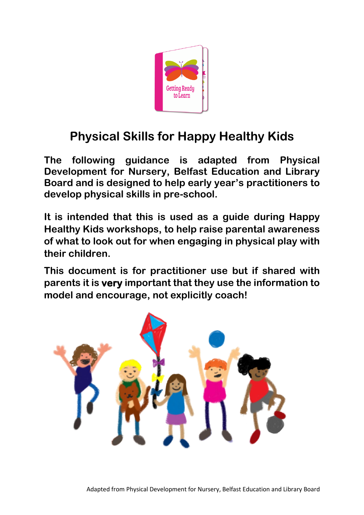

### **Physical Skills for Happy Healthy Kids**

**The following guidance is adapted from Physical Development for Nursery, Belfast Education and Library Board and is designed to help early year's practitioners to develop physical skills in pre-school.**

**It is intended that this is used as a guide during Happy Healthy Kids workshops, to help raise parental awareness of what to look out for when engaging in physical play with their children.**

**This document is for practitioner use but if shared with parents it is very important that they use the information to model and encourage, not explicitly coach!**

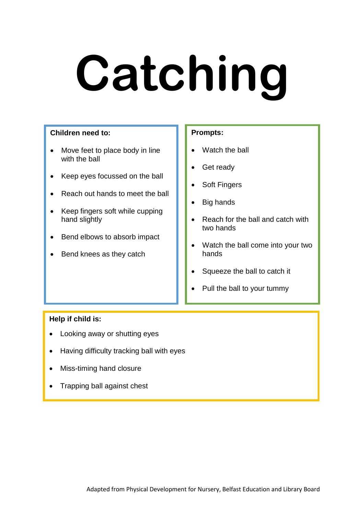### **Catching**

### **Children need to:**

- Move feet to place body in line with the ball
- Keep eyes focussed on the ball
- Reach out hands to meet the ball
- Keep fingers soft while cupping hand slightly
- Bend elbows to absorb impact
- Bend knees as they catch

### **Prompts:**

- Watch the ball
- Get ready
- Soft Fingers
- Big hands
- Reach for the ball and catch with two hands
- Watch the ball come into your two hands
- Squeeze the ball to catch it
- Pull the ball to your tummy

- Looking away or shutting eyes
- Having difficulty tracking ball with eyes
- Miss-timing hand closure
- Trapping ball against chest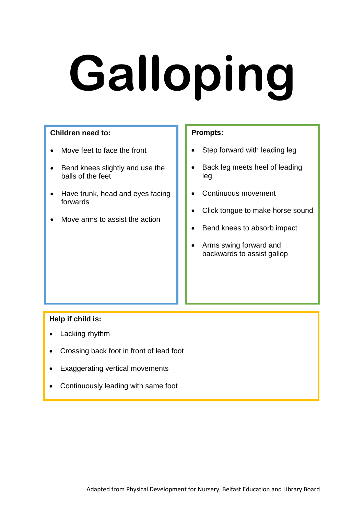### **Galloping**

### **Children need to:**

- Move feet to face the front
- Bend knees slightly and use the balls of the feet
- Have trunk, head and eyes facing forwards
- Move arms to assist the action

### **Prompts:**

- Step forward with leading leg
- Back leg meets heel of leading leg
- Continuous movement
- Click tongue to make horse sound
- Bend knees to absorb impact
- Arms swing forward and backwards to assist gallop

- Lacking rhythm
- Crossing back foot in front of lead foot
- Exaggerating vertical movements
- Continuously leading with same foot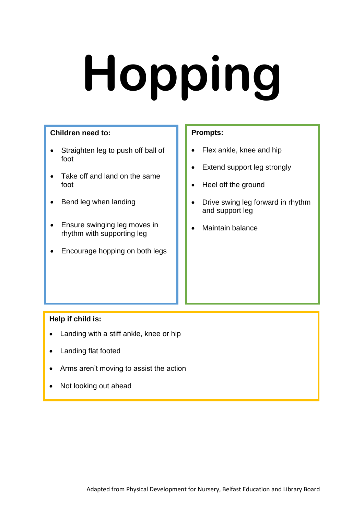# **Hopping**

### **Children need to:**

- Straighten leg to push off ball of foot
- Take off and land on the same foot
- Bend leg when landing
- Ensure swinging leg moves in rhythm with supporting leg
- Encourage hopping on both legs

### **Prompts:**

- Flex ankle, knee and hip
- Extend support leg strongly
- Heel off the ground
- Drive swing leg forward in rhythm and support leg
- Maintain balance

- Landing with a stiff ankle, knee or hip
- Landing flat footed
- Arms aren't moving to assist the action
- Not looking out ahead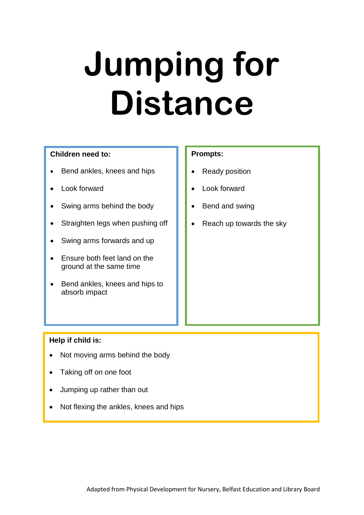### **Jumping for Distance**

### **Children need to:**

- Bend ankles, knees and hips
- Look forward
- Swing arms behind the body
- Straighten legs when pushing off
- Swing arms forwards and up
- Ensure both feet land on the ground at the same time
- Bend ankles, knees and hips to absorb impact

### **Prompts:**

- Ready position
- Look forward
- Bend and swing
- Reach up towards the sky

- Not moving arms behind the body
- Taking off on one foot
- Jumping up rather than out
- Not flexing the ankles, knees and hips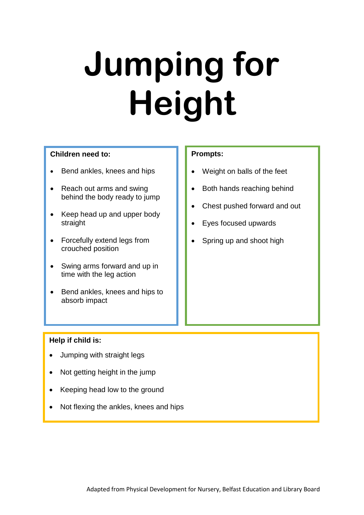### **Jumping for Height**

### **Children need to:**

- Bend ankles, knees and hips
- Reach out arms and swing behind the body ready to jump
- Keep head up and upper body straight
- Forcefully extend legs from crouched position
- Swing arms forward and up in time with the leg action
- Bend ankles, knees and hips to absorb impact

### **Prompts:**

- Weight on balls of the feet
- Both hands reaching behind
- Chest pushed forward and out
- Eyes focused upwards
- Spring up and shoot high

- Jumping with straight legs
- Not getting height in the jump
- Keeping head low to the ground
- Not flexing the ankles, knees and hips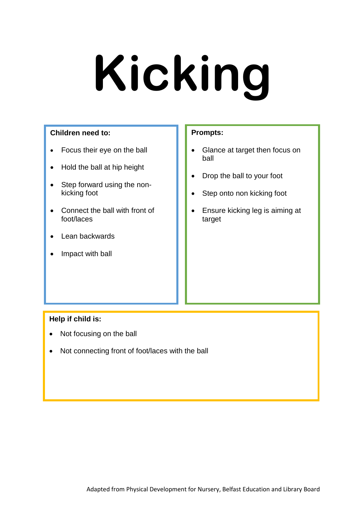### **Kicking**

### **Children need to:**

- Focus their eye on the ball
- Hold the ball at hip height
- Step forward using the nonkicking foot
- Connect the ball with front of foot/laces
- Lean backwards
- Impact with ball

### **Prompts:**

- Glance at target then focus on ball
- Drop the ball to your foot
- Step onto non kicking foot
- Ensure kicking leg is aiming at target

- Not focusing on the ball
- Not connecting front of foot/laces with the ball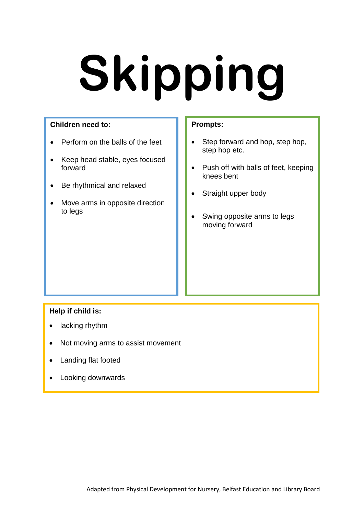## **Skipping**

### **Children need to:**

- Perform on the balls of the feet
- Keep head stable, eyes focused forward
- Be rhythmical and relaxed
- Move arms in opposite direction to legs

### **Prompts:**

- Step forward and hop, step hop, step hop etc.
- Push off with balls of feet, keeping knees bent
- Straight upper body
- Swing opposite arms to legs moving forward

- lacking rhythm
- Not moving arms to assist movement
- Landing flat footed
- Looking downwards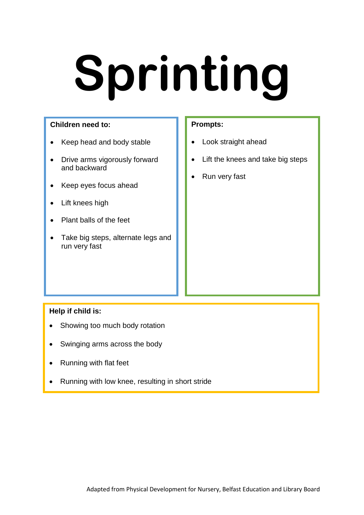## **Sprinting**

### **Children need to:**

- Keep head and body stable
- Drive arms vigorously forward and backward
- Keep eyes focus ahead
- Lift knees high
- Plant balls of the feet
- Take big steps, alternate legs and run very fast

### **Prompts:**

- Look straight ahead
- Lift the knees and take big steps
- Run very fast

- Showing too much body rotation
- Swinging arms across the body
- Running with flat feet
- Running with low knee, resulting in short stride